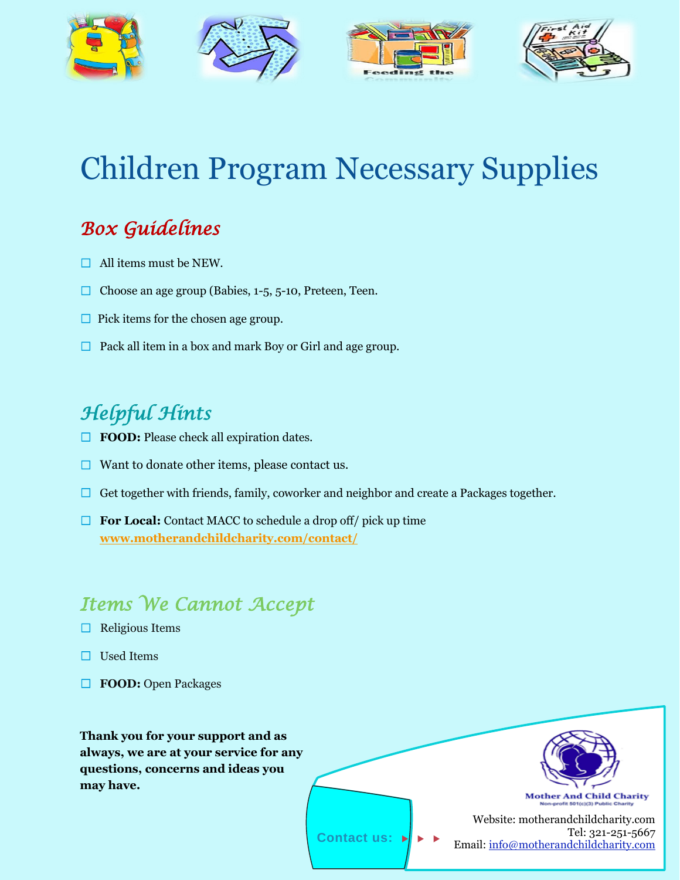

# Children Program Necessary Supplies

## *Box Guidelines*

- $\Box$  All items must be NEW.
- ☐ Choose an age group (Babies, 1-5, 5-10, Preteen, Teen.
- ☐Pick items for the chosen age group.
- $\Box$  Pack all item in a box and mark Boy or Girl and age group.

## *Helpful Hints*

- □ **FOOD:** Please check all expiration dates.
- $\Box$  Want to donate other items, please contact us.
- $\Box$  Get together with friends, family, coworker and neighbor and create a Packages together.
- ☐ **For Local:** Contact MACC to schedule a drop off/ pick up time **[www.motherandchildcharity.com/contact/](http://www.motherandchildcharity.com/contact/)**

#### *Items We Cannot Accept*

- $\Box$  Religious Items
- ☐ Used Items
- ☐ **FOOD:** Open Packages

**Thank you for your support and as always, we are at your service for any questions, concerns and ideas you may have.**



Website: motherandchildcharity.com Tel: 321-251-5667 Contact us: ▶ ▶ Email: [info@motherandchildcharity.com](mailto:info@motherandchildcharity.com)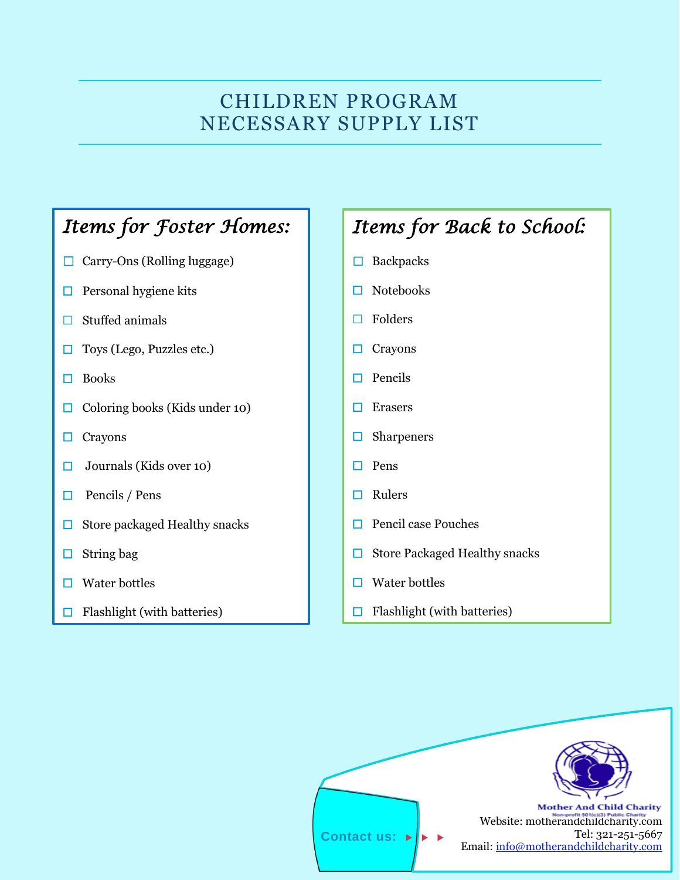## CHILDREN PROGRAM NECESSARY SUPPLY LIST

## *Items for Foster Homes:*

- ☐ Carry-Ons (Rolling luggage)
- ☐Personal hygiene kits
- $\Box$  Stuffed animals
- $\Box$  Toys (Lego, Puzzles etc.)
- ☐ Books
- $\Box$  Coloring books (Kids under 10)
- ☐ Crayons
- $\Box$  Journals (Kids over 10)
- $\Box$  Pencils / Pens
- $\Box$  Store packaged Healthy snacks
- ☐ String bag
- $\Box$  Water bottles
- $\Box$  Flashlight (with batteries)

## *Items for Back to School:*

- ☐ Backpacks
- ☐ Notebooks
- ☐ Folders
- ☐ Crayons
- ☐ Pencils
- ☐ Erasers
- ☐ Sharpeners
- ☐ Pens
- ☐ Rulers
- $\Box$  Pencil case Pouches
- ☐ Store Packaged Healthy snacks
- $\Box$  Water bottles
- $\Box$  Flashlight (with batteries)

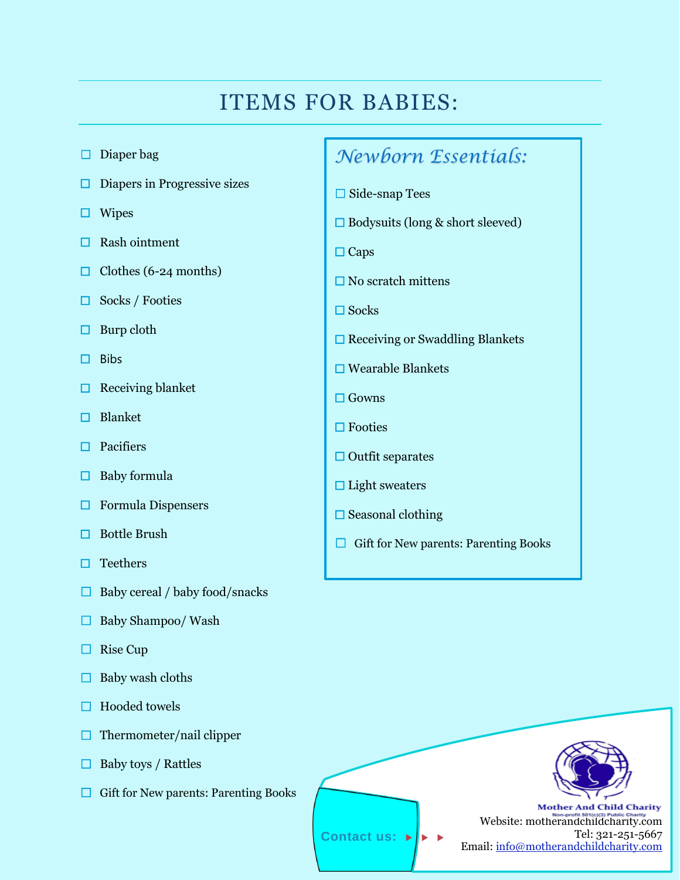# ITEMS FOR BABIES:

|        | Diaper bag                     | Newborn Essentials:                     |
|--------|--------------------------------|-----------------------------------------|
|        | Diapers in Progressive sizes   | Side-snap Tees                          |
| $\Box$ | <b>Wipes</b>                   | $\Box$ Bodysuits (long & short sleeved) |
| П      | Rash ointment                  | $\Box$ Caps                             |
| О      | Clothes (6-24 months)          | No scratch mittens                      |
| □      | Socks / Footies                | $\square$ Socks                         |
|        | Burp cloth                     | $\Box$ Receiving or Swaddling Blankets  |
| П      | <b>Bibs</b>                    | $\Box$ Wearable Blankets                |
| □      | Receiving blanket              | Gowns                                   |
| $\Box$ | <b>Blanket</b>                 | $\Box$ Footies                          |
| ш      | Pacifiers                      | $\Box$ Outfit separates                 |
|        | Baby formula                   | $\Box$ Light sweaters                   |
| Ш      | <b>Formula Dispensers</b>      |                                         |
| □      | <b>Bottle Brush</b>            | Seasonal clothing                       |
|        | <b>Teethers</b>                | Gift for New parents: Parenting Books   |
|        | Baby cereal / baby food/snacks |                                         |

**Contact us:**

- ☐ Baby Shampoo/ Wash
- ☐ Rise Cup

 $\Box$ 

 $\Box$ 

 $\Box$ 

 $\Box$ 

 $\Box$ 

 $\Box$ 

 $\Box$ 

 $\Box$ 

 $\Box$ 

 $\Box$ 

 $\Box$ 

 $\Box$ 

- $\Box$  Baby wash cloths
- $\Box$  Hooded towels
- $\Box$  Thermometer/nail clipper
- $\Box$  Baby toys / Rattles
- ☐ Gift for New parents: Parenting Books



**Mother And Child Charity** Website: motherandchildcharity.com Tel: 321-251-5667 Email[: info@motherandchildcharity.com](mailto:info@motherandchildcharity.com)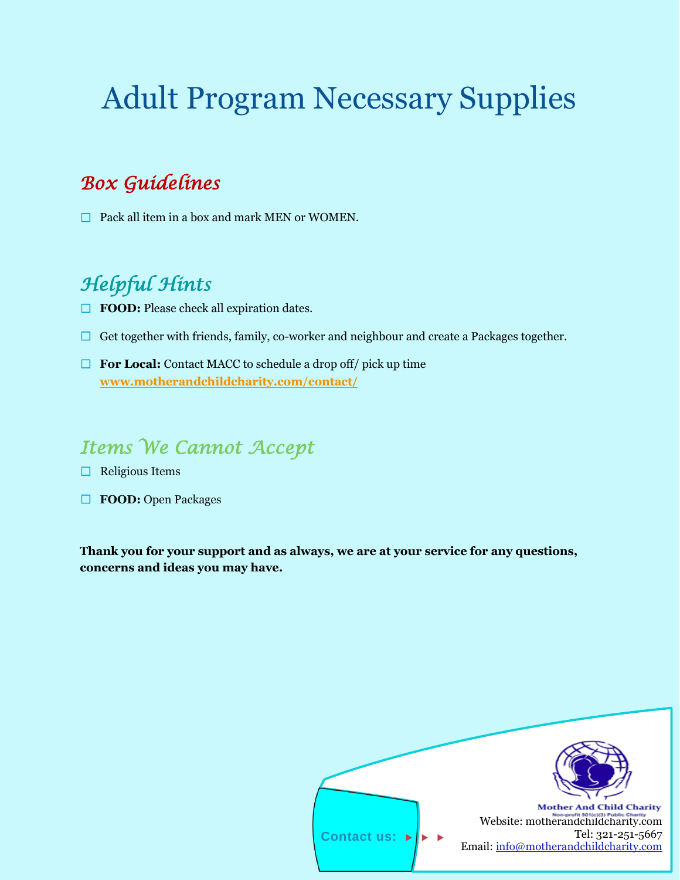# Adult Program Necessary Supplies

## *Box Guidelines*

 $\Box$  Pack all item in a box and mark MEN or WOMEN.

# *Helpful Hints*

- ☐ **FOOD:** Please check all expiration dates.
- $\Box$  Get together with friends, family, co-worker and neighbour and create a Packages together.
- ☐ **For Local:** Contact MACC to schedule a drop off/ pick up time **[www.motherandchildcharity.com/contact/](http://www.motherandchildcharity.com/contact/)**

#### *Items We Cannot Accept*

- $\Box$  Religious Items
- ☐ **FOOD:** Open Packages

**Thank you for your support and as always, we are at your service for any questions, concerns and ideas you may have.**